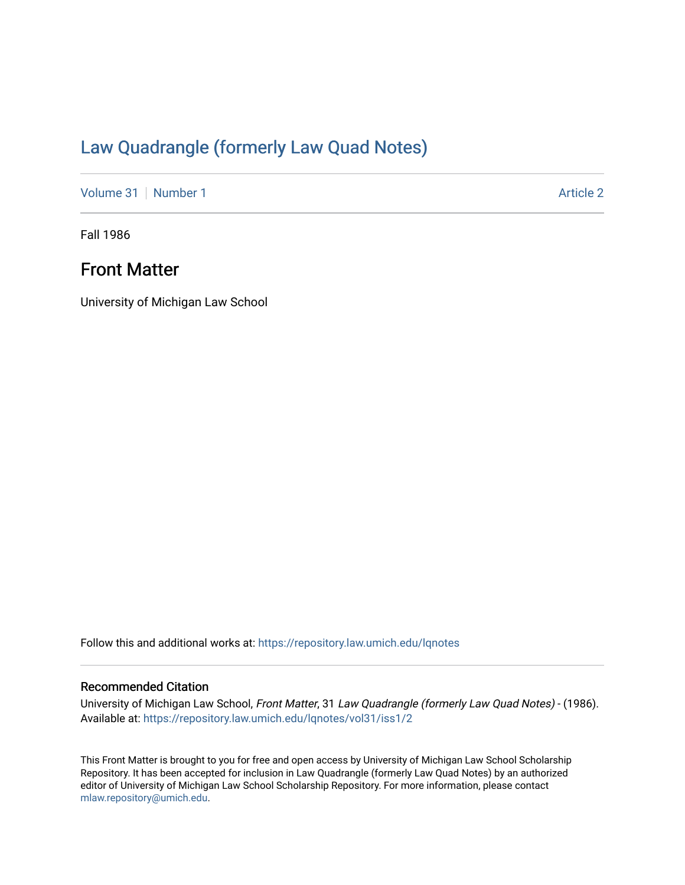## [Law Quadrangle \(formerly Law Quad Notes\)](https://repository.law.umich.edu/lqnotes)

[Volume 31](https://repository.law.umich.edu/lqnotes/vol31) [Number 1](https://repository.law.umich.edu/lqnotes/vol31/iss1) Article 2

Fall 1986

## Front Matter

University of Michigan Law School

Follow this and additional works at: [https://repository.law.umich.edu/lqnotes](https://repository.law.umich.edu/lqnotes?utm_source=repository.law.umich.edu%2Flqnotes%2Fvol31%2Fiss1%2F2&utm_medium=PDF&utm_campaign=PDFCoverPages) 

#### Recommended Citation

University of Michigan Law School, Front Matter, 31 Law Quadrangle (formerly Law Quad Notes) - (1986). Available at: [https://repository.law.umich.edu/lqnotes/vol31/iss1/2](https://repository.law.umich.edu/lqnotes/vol31/iss1/2?utm_source=repository.law.umich.edu%2Flqnotes%2Fvol31%2Fiss1%2F2&utm_medium=PDF&utm_campaign=PDFCoverPages) 

This Front Matter is brought to you for free and open access by University of Michigan Law School Scholarship Repository. It has been accepted for inclusion in Law Quadrangle (formerly Law Quad Notes) by an authorized editor of University of Michigan Law School Scholarship Repository. For more information, please contact [mlaw.repository@umich.edu.](mailto:mlaw.repository@umich.edu)